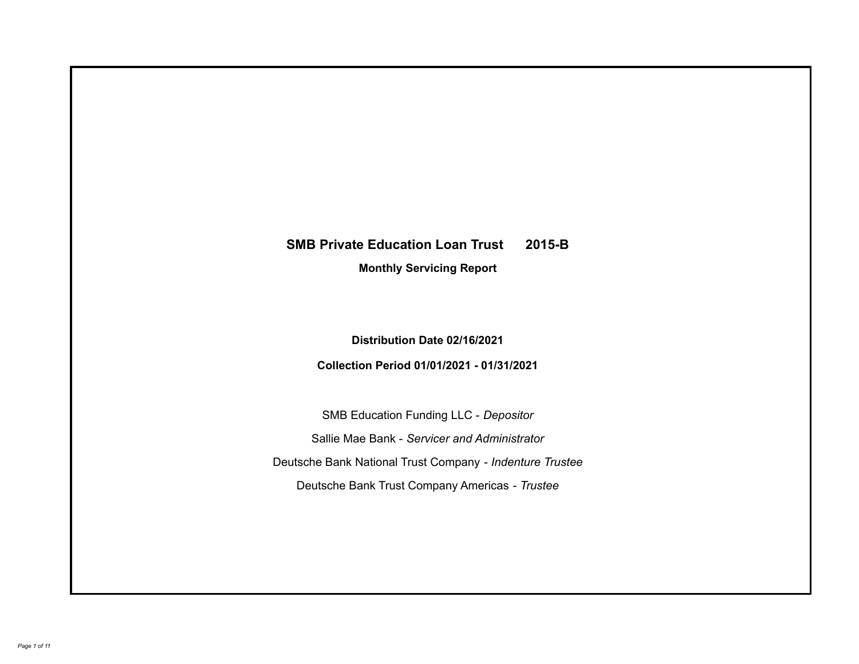# **SMB Private Education Loan Trust 2015-B**

**Monthly Servicing Report**

**Distribution Date 02/16/2021**

**Collection Period 01/01/2021 - 01/31/2021**

SMB Education Funding LLC - *Depositor* Sallie Mae Bank - *Servicer and Administrator* Deutsche Bank National Trust Company - *Indenture Trustee* Deutsche Bank Trust Company Americas - *Trustee*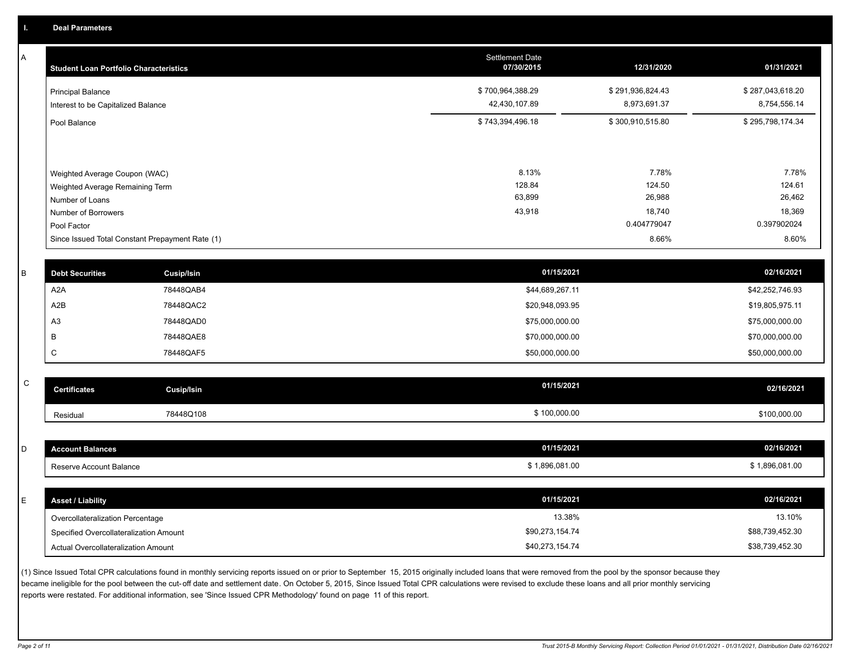A

| <b>Student Loan Portfolio Characteristics</b>                    | <b>Settlement Date</b><br>07/30/2015 | 12/31/2020                       | 01/31/2021                       |
|------------------------------------------------------------------|--------------------------------------|----------------------------------|----------------------------------|
| <b>Principal Balance</b><br>Interest to be Capitalized Balance   | \$700,964,388.29<br>42,430,107.89    | \$291,936,824.43<br>8,973,691.37 | \$287,043,618.20<br>8,754,556.14 |
| Pool Balance                                                     | \$743,394,496.18                     | \$300,910,515.80                 | \$295,798,174.34                 |
| Weighted Average Coupon (WAC)<br>Weighted Average Remaining Term | 8.13%<br>128.84                      | 7.78%<br>124.50                  | 7.78%<br>124.61                  |
| Number of Loans                                                  | 63,899                               | 26,988                           | 26,462                           |
| Number of Borrowers<br>Pool Factor                               | 43,918                               | 18,740<br>0.404779047            | 18,369<br>0.397902024            |
| Since Issued Total Constant Prepayment Rate (1)                  |                                      | 8.66%                            | 8.60%                            |

| <b>Debt Securities</b> | Cusip/Isin | 01/15/2021      | 02/16/2021      |
|------------------------|------------|-----------------|-----------------|
| A <sub>2</sub> A       | 78448QAB4  | \$44,689,267.11 | \$42,252,746.93 |
| A2B                    | 78448QAC2  | \$20,948,093.95 | \$19,805,975.11 |
| A3                     | 78448QAD0  | \$75,000,000.00 | \$75,000,000.00 |
|                        | 78448QAE8  | \$70,000,000.00 | \$70,000,000.00 |
|                        | 78448QAF5  | \$50,000,000.00 | \$50,000,000.00 |
|                        |            |                 |                 |

| $\sim$<br>ັ | <b>Certificates</b> | Cusip/Isin | 01/15/2021 | 02/16/2021   |
|-------------|---------------------|------------|------------|--------------|
|             | Residual            | 78448Q108  | 100,000.00 | \$100,000.00 |

| <b>Account Balances</b>                | 01/15/2021      | 02/16/2021      |
|----------------------------------------|-----------------|-----------------|
| Reserve Account Balance                | \$1,896,081.00  | \$1,896,081.00  |
|                                        |                 |                 |
| <b>Asset / Liability</b>               | 01/15/2021      | 02/16/2021      |
| Overcollateralization Percentage       | 13.38%          | 13.10%          |
| Specified Overcollateralization Amount | \$90,273,154.74 | \$88,739,452.30 |
| Actual Overcollateralization Amount    | \$40,273,154.74 | \$38,739,452.30 |

(1) Since Issued Total CPR calculations found in monthly servicing reports issued on or prior to September 15, 2015 originally included loans that were removed from the pool by the sponsor because they became ineligible for the pool between the cut-off date and settlement date. On October 5, 2015, Since Issued Total CPR calculations were revised to exclude these loans and all prior monthly servicing reports were restated. For additional information, see 'Since Issued CPR Methodology' found on page 11 of this report.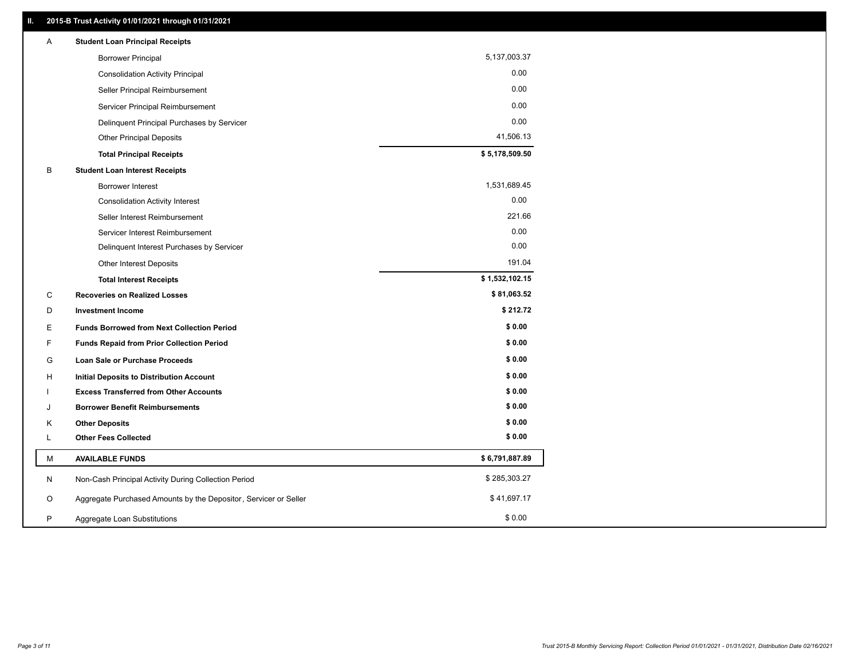| Α | <b>Student Loan Principal Receipts</b>                           |                |
|---|------------------------------------------------------------------|----------------|
|   | <b>Borrower Principal</b>                                        | 5,137,003.37   |
|   | <b>Consolidation Activity Principal</b>                          | 0.00           |
|   | Seller Principal Reimbursement                                   | 0.00           |
|   | Servicer Principal Reimbursement                                 | 0.00           |
|   | Delinquent Principal Purchases by Servicer                       | 0.00           |
|   | <b>Other Principal Deposits</b>                                  | 41,506.13      |
|   | <b>Total Principal Receipts</b>                                  | \$5,178,509.50 |
| В | <b>Student Loan Interest Receipts</b>                            |                |
|   | Borrower Interest                                                | 1,531,689.45   |
|   | <b>Consolidation Activity Interest</b>                           | 0.00           |
|   | Seller Interest Reimbursement                                    | 221.66         |
|   | Servicer Interest Reimbursement                                  | 0.00           |
|   | Delinquent Interest Purchases by Servicer                        | 0.00           |
|   | Other Interest Deposits                                          | 191.04         |
|   | <b>Total Interest Receipts</b>                                   | \$1,532,102.15 |
| C | <b>Recoveries on Realized Losses</b>                             | \$81,063.52    |
| D | <b>Investment Income</b>                                         | \$212.72       |
| Е | <b>Funds Borrowed from Next Collection Period</b>                | \$0.00         |
| F | <b>Funds Repaid from Prior Collection Period</b>                 | \$0.00         |
| G | Loan Sale or Purchase Proceeds                                   | \$0.00         |
| н | <b>Initial Deposits to Distribution Account</b>                  | \$0.00         |
|   | <b>Excess Transferred from Other Accounts</b>                    | \$0.00         |
| J | <b>Borrower Benefit Reimbursements</b>                           | \$0.00         |
| Κ | <b>Other Deposits</b>                                            | \$0.00         |
| L | <b>Other Fees Collected</b>                                      | \$0.00         |
| М | <b>AVAILABLE FUNDS</b>                                           | \$6,791,887.89 |
| N | Non-Cash Principal Activity During Collection Period             | \$285,303.27   |
| O |                                                                  | \$41,697.17    |
|   | Aggregate Purchased Amounts by the Depositor, Servicer or Seller |                |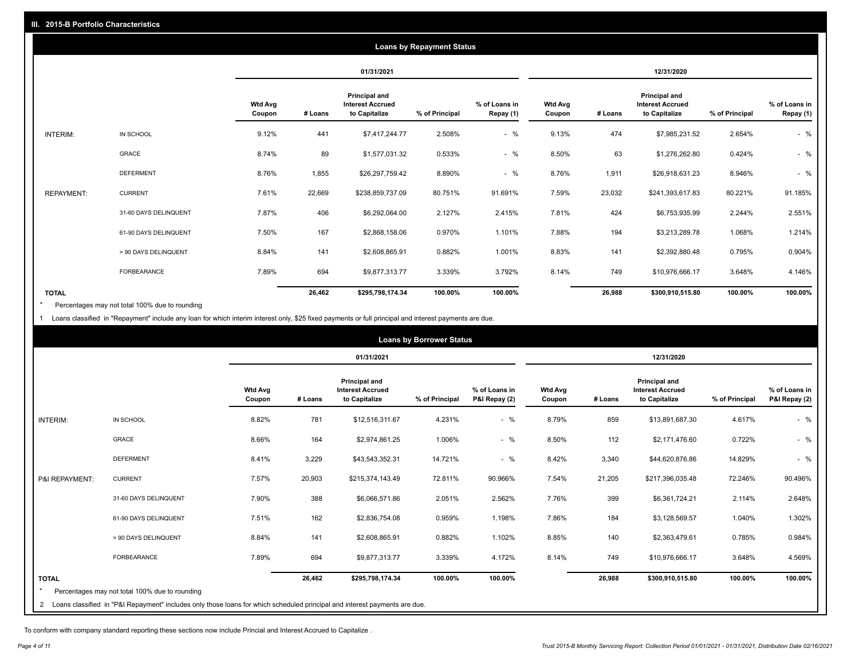|                   | <b>Loans by Repayment Status</b> |                          |         |                                                                  |                |                            |                          |         |                                                                  |                |                            |
|-------------------|----------------------------------|--------------------------|---------|------------------------------------------------------------------|----------------|----------------------------|--------------------------|---------|------------------------------------------------------------------|----------------|----------------------------|
|                   |                                  |                          |         | 01/31/2021                                                       |                |                            |                          |         | 12/31/2020                                                       |                |                            |
|                   |                                  | <b>Wtd Avg</b><br>Coupon | # Loans | <b>Principal and</b><br><b>Interest Accrued</b><br>to Capitalize | % of Principal | % of Loans in<br>Repay (1) | <b>Wtd Avg</b><br>Coupon | # Loans | <b>Principal and</b><br><b>Interest Accrued</b><br>to Capitalize | % of Principal | % of Loans in<br>Repay (1) |
| INTERIM:          | IN SCHOOL                        | 9.12%                    | 441     | \$7,417,244.77                                                   | 2.508%         | $-$ %                      | 9.13%                    | 474     | \$7,985,231.52                                                   | 2.654%         | $-$ %                      |
|                   | GRACE                            | 8.74%                    | 89      | \$1,577,031.32                                                   | 0.533%         | $-$ %                      | 8.50%                    | 63      | \$1,276,262.80                                                   | 0.424%         | $-$ %                      |
|                   | <b>DEFERMENT</b>                 | 8.76%                    | 1,855   | \$26,297,759.42                                                  | 8.890%         | $-$ %                      | 8.76%                    | 1,911   | \$26,918,631.23                                                  | 8.946%         | $-$ %                      |
| <b>REPAYMENT:</b> | <b>CURRENT</b>                   | 7.61%                    | 22,669  | \$238,859,737.09                                                 | 80.751%        | 91.691%                    | 7.59%                    | 23,032  | \$241,393,617.83                                                 | 80.221%        | 91.185%                    |
|                   | 31-60 DAYS DELINQUENT            | 7.87%                    | 406     | \$6,292,064.00                                                   | 2.127%         | 2.415%                     | 7.81%                    | 424     | \$6,753,935.99                                                   | 2.244%         | 2.551%                     |
|                   | 61-90 DAYS DELINQUENT            | 7.50%                    | 167     | \$2,868,158.06                                                   | 0.970%         | 1.101%                     | 7.88%                    | 194     | \$3,213,289.78                                                   | 1.068%         | 1.214%                     |
|                   | > 90 DAYS DELINQUENT             | 8.84%                    | 141     | \$2,608,865.91                                                   | 0.882%         | 1.001%                     | 8.83%                    | 141     | \$2,392,880.48                                                   | 0.795%         | 0.904%                     |
|                   | <b>FORBEARANCE</b>               | 7.89%                    | 694     | \$9,877,313.77                                                   | 3.339%         | 3.792%                     | 8.14%                    | 749     | \$10,976,666.17                                                  | 3.648%         | 4.146%                     |
| <b>TOTAL</b>      |                                  |                          | 26,462  | \$295,798,174.34                                                 | 100.00%        | 100.00%                    |                          | 26,988  | \$300,910,515.80                                                 | 100.00%        | 100.00%                    |

Percentages may not total 100% due to rounding \*

1 Loans classified in "Repayment" include any loan for which interim interest only, \$25 fixed payments or full principal and interest payments are due.

| <b>Loans by Borrower Status</b> |                                                                                                                              |                          |         |                                                                  |                |                                |                          |         |                                                           |                |                                |
|---------------------------------|------------------------------------------------------------------------------------------------------------------------------|--------------------------|---------|------------------------------------------------------------------|----------------|--------------------------------|--------------------------|---------|-----------------------------------------------------------|----------------|--------------------------------|
|                                 |                                                                                                                              |                          |         | 01/31/2021                                                       |                |                                | 12/31/2020               |         |                                                           |                |                                |
|                                 |                                                                                                                              | <b>Wtd Avg</b><br>Coupon | # Loans | <b>Principal and</b><br><b>Interest Accrued</b><br>to Capitalize | % of Principal | % of Loans in<br>P&I Repay (2) | <b>Wtd Avg</b><br>Coupon | # Loans | Principal and<br><b>Interest Accrued</b><br>to Capitalize | % of Principal | % of Loans in<br>P&I Repay (2) |
| INTERIM:                        | IN SCHOOL                                                                                                                    | 8.82%                    | 781     | \$12,516,311.67                                                  | 4.231%         | $-$ %                          | 8.79%                    | 859     | \$13,891,687.30                                           | 4.617%         | $-$ %                          |
|                                 | <b>GRACE</b>                                                                                                                 | 8.66%                    | 164     | \$2,974,861.25                                                   | 1.006%         | $-$ %                          | 8.50%                    | 112     | \$2,171,476.60                                            | 0.722%         | $-$ %                          |
|                                 | <b>DEFERMENT</b>                                                                                                             | 8.41%                    | 3,229   | \$43,543,352.31                                                  | 14.721%        | $-$ %                          | 8.42%                    | 3,340   | \$44,620,876.86                                           | 14.829%        | $-$ %                          |
| P&I REPAYMENT:                  | <b>CURRENT</b>                                                                                                               | 7.57%                    | 20,903  | \$215,374,143.49                                                 | 72.811%        | 90.966%                        | 7.54%                    | 21,205  | \$217,396,035.48                                          | 72.246%        | 90.496%                        |
|                                 | 31-60 DAYS DELINQUENT                                                                                                        | 7.90%                    | 388     | \$6,066,571.86                                                   | 2.051%         | 2.562%                         | 7.76%                    | 399     | \$6,361,724.21                                            | 2.114%         | 2.648%                         |
|                                 | 61-90 DAYS DELINQUENT                                                                                                        | 7.51%                    | 162     | \$2,836,754.08                                                   | 0.959%         | 1.198%                         | 7.86%                    | 184     | \$3,128,569.57                                            | 1.040%         | 1.302%                         |
|                                 | > 90 DAYS DELINQUENT                                                                                                         | 8.84%                    | 141     | \$2,608,865.91                                                   | 0.882%         | 1.102%                         | 8.85%                    | 140     | \$2,363,479.61                                            | 0.785%         | 0.984%                         |
|                                 | <b>FORBEARANCE</b>                                                                                                           | 7.89%                    | 694     | \$9,877,313.77                                                   | 3.339%         | 4.172%                         | 8.14%                    | 749     | \$10,976,666.17                                           | 3.648%         | 4.569%                         |
| <b>TOTAL</b>                    | Percentages may not total 100% due to rounding                                                                               |                          | 26,462  | \$295,798,174.34                                                 | 100.00%        | 100.00%                        |                          | 26,988  | \$300,910,515.80                                          | 100.00%        | 100.00%                        |
|                                 | 2 Loans classified in "P&I Repayment" includes only those loans for which scheduled principal and interest payments are due. |                          |         |                                                                  |                |                                |                          |         |                                                           |                |                                |

To conform with company standard reporting these sections now include Princial and Interest Accrued to Capitalize .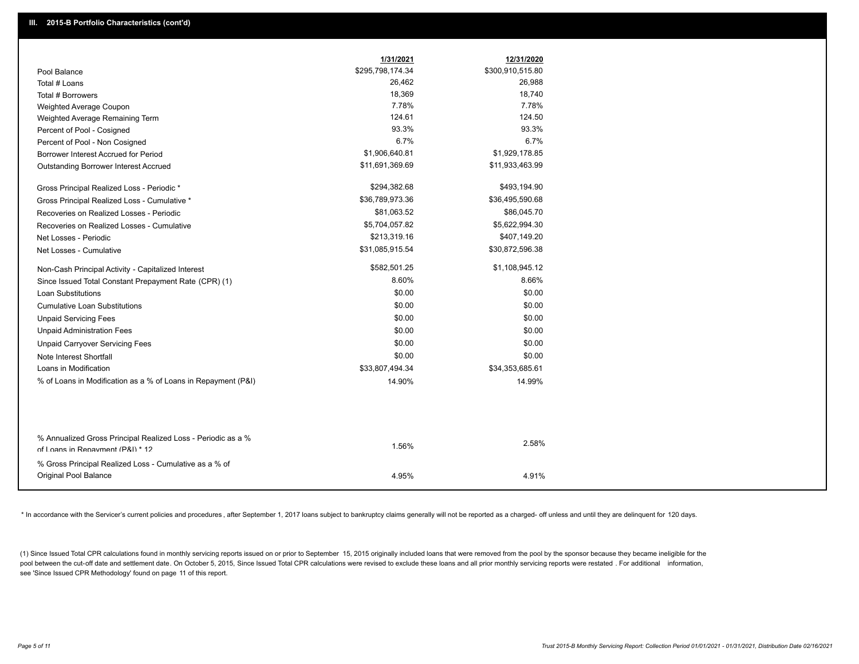|                                                                                                  | 1/31/2021        | 12/31/2020       |
|--------------------------------------------------------------------------------------------------|------------------|------------------|
| Pool Balance                                                                                     | \$295,798,174.34 | \$300,910,515.80 |
| Total # Loans                                                                                    | 26,462           | 26,988           |
| Total # Borrowers                                                                                | 18,369           | 18,740           |
| Weighted Average Coupon                                                                          | 7.78%            | 7.78%            |
| Weighted Average Remaining Term                                                                  | 124.61           | 124.50           |
| Percent of Pool - Cosigned                                                                       | 93.3%            | 93.3%            |
| Percent of Pool - Non Cosigned                                                                   | 6.7%             | 6.7%             |
| Borrower Interest Accrued for Period                                                             | \$1,906,640.81   | \$1,929,178.85   |
| Outstanding Borrower Interest Accrued                                                            | \$11,691,369.69  | \$11,933,463.99  |
| Gross Principal Realized Loss - Periodic *                                                       | \$294,382.68     | \$493,194.90     |
| Gross Principal Realized Loss - Cumulative *                                                     | \$36,789,973.36  | \$36,495,590.68  |
| Recoveries on Realized Losses - Periodic                                                         | \$81,063.52      | \$86,045.70      |
| Recoveries on Realized Losses - Cumulative                                                       | \$5,704,057.82   | \$5,622,994.30   |
| Net Losses - Periodic                                                                            | \$213,319.16     | \$407,149.20     |
| Net Losses - Cumulative                                                                          | \$31,085,915.54  | \$30,872,596.38  |
| Non-Cash Principal Activity - Capitalized Interest                                               | \$582,501.25     | \$1,108,945.12   |
| Since Issued Total Constant Prepayment Rate (CPR) (1)                                            | 8.60%            | 8.66%            |
| <b>Loan Substitutions</b>                                                                        | \$0.00           | \$0.00           |
| <b>Cumulative Loan Substitutions</b>                                                             | \$0.00           | \$0.00           |
| <b>Unpaid Servicing Fees</b>                                                                     | \$0.00           | \$0.00           |
| <b>Unpaid Administration Fees</b>                                                                | \$0.00           | \$0.00           |
| <b>Unpaid Carryover Servicing Fees</b>                                                           | \$0.00           | \$0.00           |
| Note Interest Shortfall                                                                          | \$0.00           | \$0.00           |
| Loans in Modification                                                                            | \$33,807,494.34  | \$34,353,685.61  |
| % of Loans in Modification as a % of Loans in Repayment (P&I)                                    | 14.90%           | 14.99%           |
|                                                                                                  |                  |                  |
|                                                                                                  |                  |                  |
| % Annualized Gross Principal Realized Loss - Periodic as a %<br>of Loans in Repayment (P&I) * 12 | 1.56%            | 2.58%            |
|                                                                                                  |                  |                  |
| % Gross Principal Realized Loss - Cumulative as a % of                                           |                  |                  |
| Original Pool Balance                                                                            | 4.95%            | 4.91%            |

\* In accordance with the Servicer's current policies and procedures, after September 1, 2017 loans subject to bankruptcy claims generally will not be reported as a charged- off unless and until they are delinquent for 120

(1) Since Issued Total CPR calculations found in monthly servicing reports issued on or prior to September 15, 2015 originally included loans that were removed from the pool by the sponsor because they became ineligible fo pool between the cut-off date and settlement date. On October 5, 2015, Since Issued Total CPR calculations were revised to exclude these loans and all prior monthly servicing reports were restated . For additional informat see 'Since Issued CPR Methodology' found on page 11 of this report.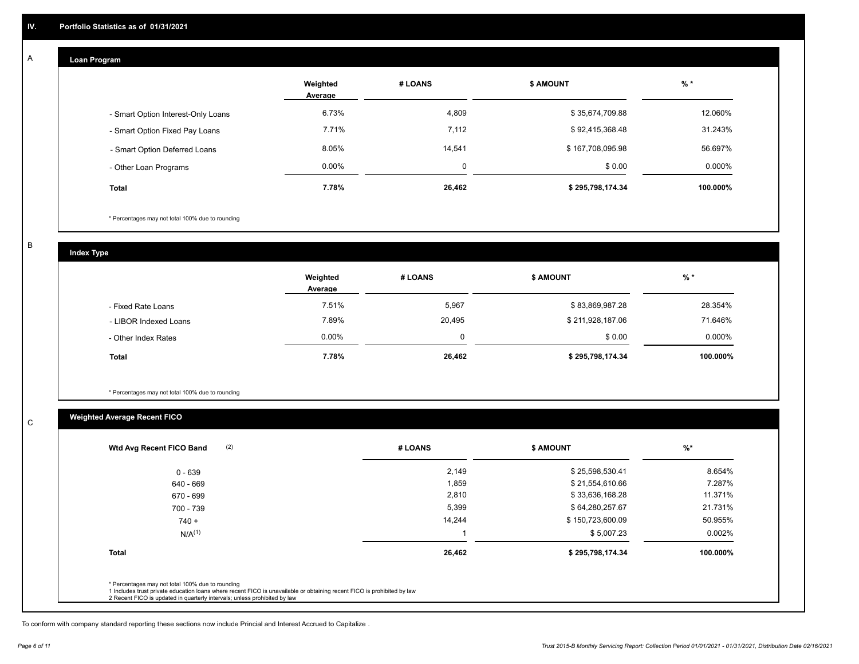#### **Loan Program**  A

|                                    | Weighted<br>Average | # LOANS  | <b>\$ AMOUNT</b> | $%$ *    |
|------------------------------------|---------------------|----------|------------------|----------|
| - Smart Option Interest-Only Loans | 6.73%               | 4,809    | \$35,674,709.88  | 12.060%  |
| - Smart Option Fixed Pay Loans     | 7.71%               | 7,112    | \$92,415,368.48  | 31.243%  |
| - Smart Option Deferred Loans      | 8.05%               | 14.541   | \$167,708,095.98 | 56.697%  |
| - Other Loan Programs              | $0.00\%$            | $\Omega$ | \$0.00           | 0.000%   |
| <b>Total</b>                       | 7.78%               | 26,462   | \$295,798,174.34 | 100.000% |

\* Percentages may not total 100% due to rounding

B

C

**Index Type**

|                       | Weighted<br>Average | # LOANS | <b>\$ AMOUNT</b> | % *      |
|-----------------------|---------------------|---------|------------------|----------|
| - Fixed Rate Loans    | 7.51%               | 5,967   | \$83,869,987.28  | 28.354%  |
| - LIBOR Indexed Loans | 7.89%               | 20,495  | \$211,928,187.06 | 71.646%  |
| - Other Index Rates   | $0.00\%$            | 0       | \$0.00           | 0.000%   |
| <b>Total</b>          | 7.78%               | 26,462  | \$295,798,174.34 | 100.000% |

\* Percentages may not total 100% due to rounding

### **Weighted Average Recent FICO**

|              |        |                  | $\frac{9}{6}$ * |
|--------------|--------|------------------|-----------------|
| $0 - 639$    | 2,149  | \$25,598,530.41  | 8.654%          |
| 640 - 669    | 1,859  | \$21,554,610.66  | 7.287%          |
| 670 - 699    | 2,810  | \$33,636,168.28  | 11.371%         |
| 700 - 739    | 5,399  | \$64,280,257.67  | 21.731%         |
| $740 +$      | 14,244 | \$150,723,600.09 | 50.955%         |
| $N/A^{(1)}$  |        | \$5,007.23       | $0.002\%$       |
| <b>Total</b> | 26,462 | \$295,798,174.34 | 100.000%        |

To conform with company standard reporting these sections now include Princial and Interest Accrued to Capitalize .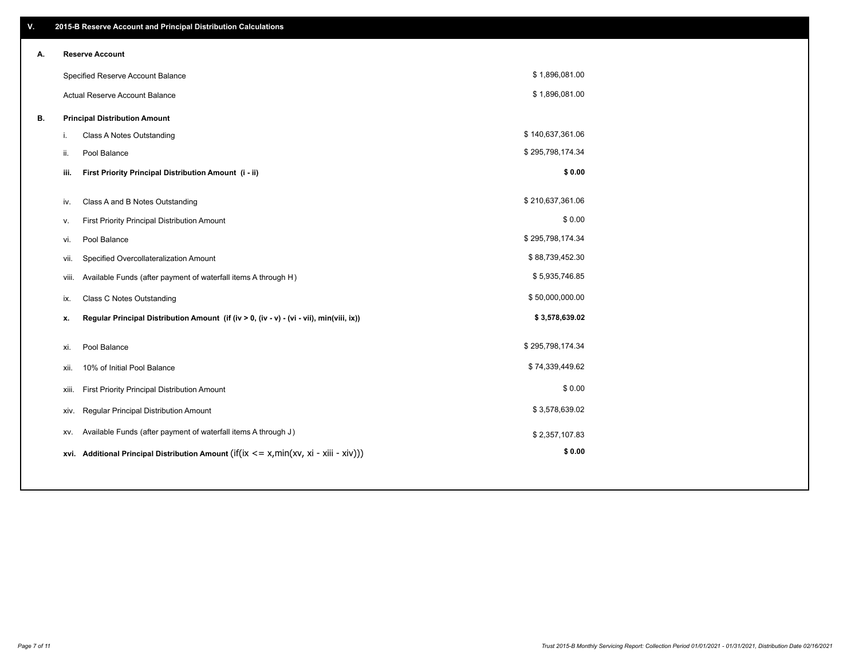| V. | 2015-B Reserve Account and Principal Distribution Calculations                                 |                  |  |
|----|------------------------------------------------------------------------------------------------|------------------|--|
| Α. | <b>Reserve Account</b>                                                                         |                  |  |
|    | Specified Reserve Account Balance                                                              | \$1,896,081.00   |  |
|    | Actual Reserve Account Balance                                                                 | \$1,896,081.00   |  |
| В. | <b>Principal Distribution Amount</b>                                                           |                  |  |
|    | Class A Notes Outstanding<br>i.                                                                | \$140,637,361.06 |  |
|    | Pool Balance<br>ii.                                                                            | \$295,798,174.34 |  |
|    | First Priority Principal Distribution Amount (i - ii)<br>iii.                                  | \$0.00           |  |
|    |                                                                                                |                  |  |
|    | Class A and B Notes Outstanding<br>iv.                                                         | \$210,637,361.06 |  |
|    | First Priority Principal Distribution Amount<br>٧.                                             | \$0.00           |  |
|    | Pool Balance<br>vi.                                                                            | \$295,798,174.34 |  |
|    | Specified Overcollateralization Amount<br>vii.                                                 | \$88,739,452.30  |  |
|    | Available Funds (after payment of waterfall items A through H)<br>viii.                        | \$5,935,746.85   |  |
|    | <b>Class C Notes Outstanding</b><br>ix.                                                        | \$50,000,000.00  |  |
|    | Regular Principal Distribution Amount (if (iv > 0, (iv - v) - (vi - vii), min(viii, ix))<br>х. | \$3,578,639.02   |  |
|    |                                                                                                |                  |  |
|    | Pool Balance<br>xi.                                                                            | \$295,798,174.34 |  |
|    | 10% of Initial Pool Balance<br>xii.                                                            | \$74,339,449.62  |  |
|    | First Priority Principal Distribution Amount<br>xiii.                                          | \$0.00           |  |
|    | Regular Principal Distribution Amount<br>xiv.                                                  | \$3,578,639.02   |  |
|    | Available Funds (after payment of waterfall items A through J)<br>XV.                          | \$2,357,107.83   |  |
|    | xvi. Additional Principal Distribution Amount (if(ix $\leq$ = x, min(xv, xi - xiii - xiv)))    | \$0.00           |  |
|    |                                                                                                |                  |  |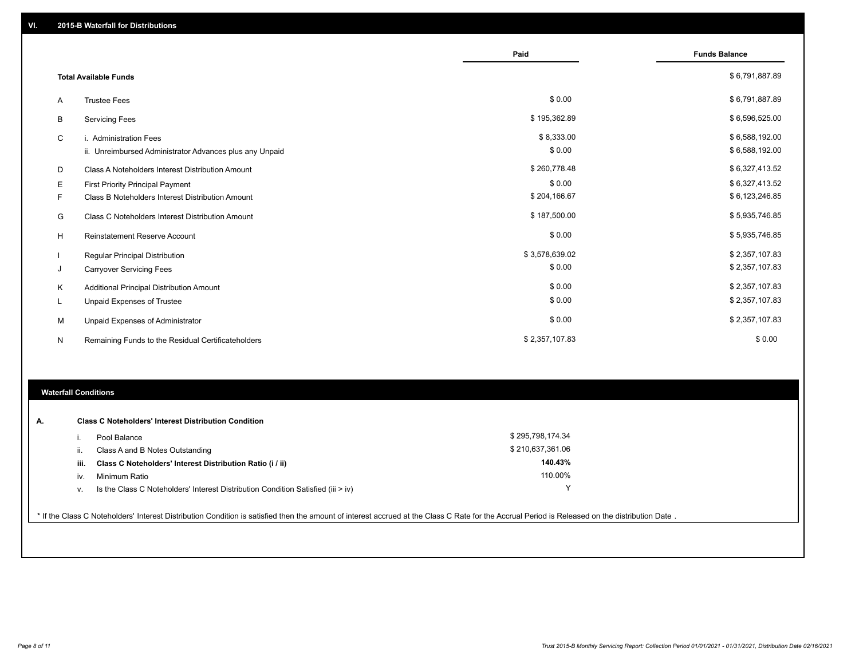|   |                                                         | Paid           | <b>Funds Balance</b> |
|---|---------------------------------------------------------|----------------|----------------------|
|   | <b>Total Available Funds</b>                            |                | \$6,791,887.89       |
| A | <b>Trustee Fees</b>                                     | \$0.00         | \$6,791,887.89       |
| В | <b>Servicing Fees</b>                                   | \$195,362.89   | \$6,596,525.00       |
| C | i. Administration Fees                                  | \$8,333.00     | \$6,588,192.00       |
|   | ii. Unreimbursed Administrator Advances plus any Unpaid | \$0.00         | \$6,588,192.00       |
| D | Class A Noteholders Interest Distribution Amount        | \$260,778.48   | \$6,327,413.52       |
| Е | <b>First Priority Principal Payment</b>                 | \$0.00         | \$6,327,413.52       |
| F | Class B Noteholders Interest Distribution Amount        | \$204,166.67   | \$6,123,246.85       |
| G | <b>Class C Noteholders Interest Distribution Amount</b> | \$187,500.00   | \$5,935,746.85       |
| H | <b>Reinstatement Reserve Account</b>                    | \$0.00         | \$5,935,746.85       |
|   | Regular Principal Distribution                          | \$3,578,639.02 | \$2,357,107.83       |
| J | <b>Carryover Servicing Fees</b>                         | \$0.00         | \$2,357,107.83       |
| K | Additional Principal Distribution Amount                | \$0.00         | \$2,357,107.83       |
|   | Unpaid Expenses of Trustee                              | \$0.00         | \$2,357,107.83       |
| M | Unpaid Expenses of Administrator                        | \$0.00         | \$2,357,107.83       |
| N | Remaining Funds to the Residual Certificateholders      | \$2,357,107.83 | \$0.00               |

### **Waterfall Conditions**

| А. |      | <b>Class C Noteholders' Interest Distribution Condition</b>                        |                  |  |
|----|------|------------------------------------------------------------------------------------|------------------|--|
|    |      | Pool Balance                                                                       | \$295,798,174.34 |  |
|    |      | Class A and B Notes Outstanding                                                    | \$210,637,361.06 |  |
|    | iii. | Class C Noteholders' Interest Distribution Ratio (i / ii)                          | 140.43%          |  |
|    | iv.  | Minimum Ratio                                                                      | 110.00%          |  |
|    | ν.   | Is the Class C Noteholders' Interest Distribution Condition Satisfied (iii $>$ iv) |                  |  |
|    |      |                                                                                    |                  |  |

\* If the Class C Noteholders' Interest Distribution Condition is satisfied then the amount of interest accrued at the Class C Rate for the Accrual Period is Released on the distribution Date .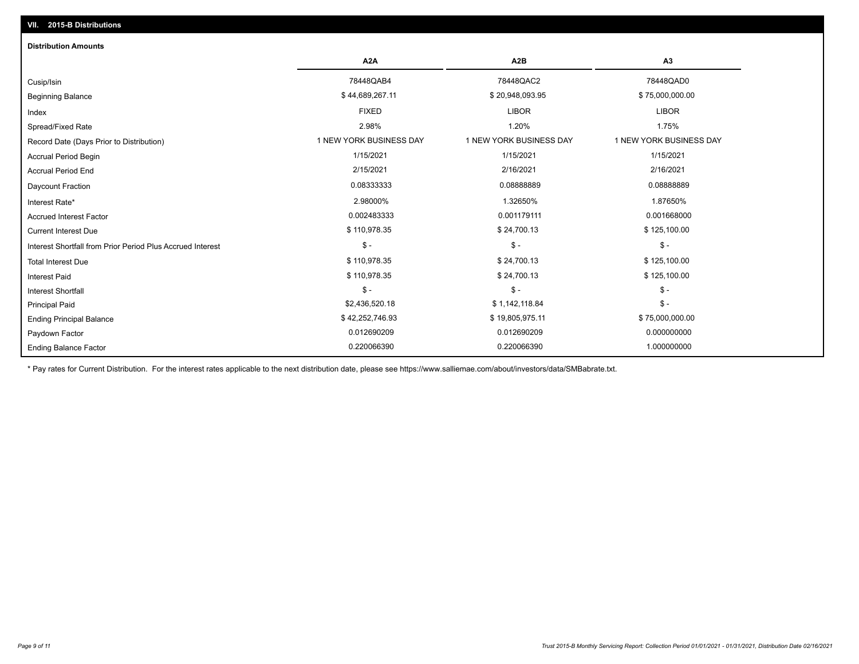## Ending Balance Factor Paydown Factor 0.012690209 0.012690209 0.000000000 Ending Principal Balance \$ 75,000,000.00 \$ \$ 19,805,975.11 \$ \$ 42,252,746.93 \$ 19,805,975.11 \$ \$ 75,000,000.00 Principal Paid \$2,436,520.18 \$ 1,142,118.84 \$ - \$ - \$ - \$ - Interest Shortfall \$ 110,978.35 \$ 24,700.13 \$ 125,100.00 Interest Paid Total Interest Due \$ 110,978.35 \$ 24,700.13 \$ 125,100.00 \$ - \$ - \$ - Interest Shortfall from Prior Period Plus Accrued Interest  $\text{Current Interest Due}$  \$ 110,978.35  $\text{$24,700.13}$$  \$ 125,100.00 Accrued Interest Factor **0.001668000** 0.002483333 0.002483333 0.001179111 0.001179111 0.001668000 Interest Rate\* 2.98000% 1.32650% 1.87650% Daycount Fraction 0.08333333 0.08888889 0.08888889 Accrual Period End 2/15/2021 2/16/2021 2/16/2021 Accrual Period Begin 1/15/2021 1/15/2021 1/15/2021 Record Date (Days Prior to Distribution) **1 NEW YORK BUSINESS DAY** 1 NEW YORK BUSINESS DAY 1 NEW YORK BUSINESS DAY Spread/Fixed Rate 2.98% 1.20% 1.75% Index FIXED LIBOR LIBOR Beginning Balance \$ 75,000,000.00 \$ 34,689,267.11 \$ \$ 20,948,093.95 \$ 20,948,093.95 \$ 75,000,000.00 \$ 3 \$ 75,000,000 Cusip/Isin 78448QAB4 78448QAC2 78448QAD0 **A2A A2B A3** 0.220066390 0.220066390 1.000000000 **Distribution Amounts**

\* Pay rates for Current Distribution. For the interest rates applicable to the next distribution date, please see https://www.salliemae.com/about/investors/data/SMBabrate.txt.

**VII. 2015-B Distributions**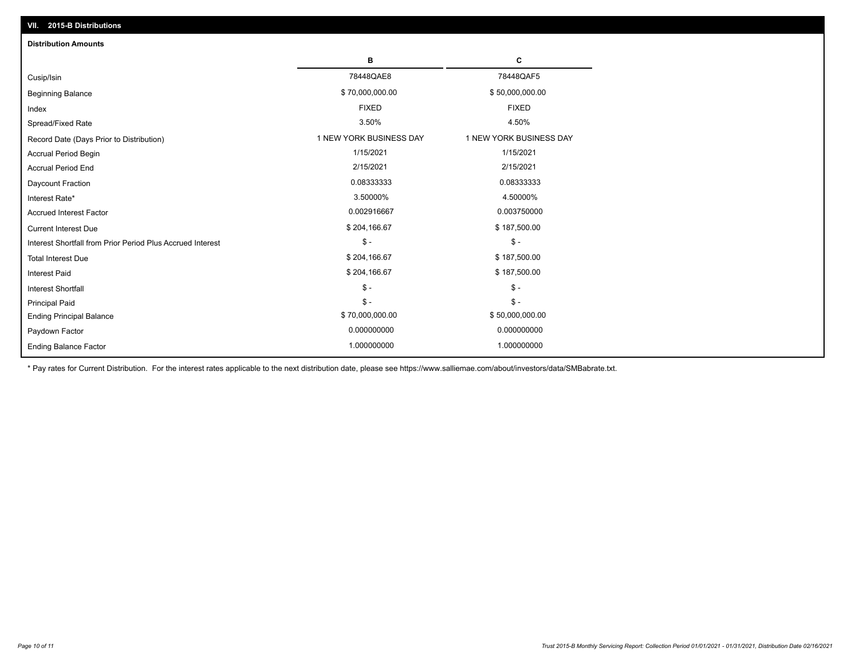| VII. 2015-B Distributions                                  |                         |                         |  |  |  |
|------------------------------------------------------------|-------------------------|-------------------------|--|--|--|
| <b>Distribution Amounts</b>                                |                         |                         |  |  |  |
|                                                            | в                       | C                       |  |  |  |
| Cusip/Isin                                                 | 78448QAE8               | 78448QAF5               |  |  |  |
| <b>Beginning Balance</b>                                   | \$70,000,000.00         | \$50,000,000.00         |  |  |  |
| Index                                                      | <b>FIXED</b>            | <b>FIXED</b>            |  |  |  |
| Spread/Fixed Rate                                          | 3.50%                   | 4.50%                   |  |  |  |
| Record Date (Days Prior to Distribution)                   | 1 NEW YORK BUSINESS DAY | 1 NEW YORK BUSINESS DAY |  |  |  |
| <b>Accrual Period Begin</b>                                | 1/15/2021               | 1/15/2021               |  |  |  |
| <b>Accrual Period End</b>                                  | 2/15/2021               | 2/15/2021               |  |  |  |
| Daycount Fraction                                          | 0.08333333              | 0.08333333              |  |  |  |
| Interest Rate*                                             | 3.50000%                | 4.50000%                |  |  |  |
| <b>Accrued Interest Factor</b>                             | 0.002916667             | 0.003750000             |  |  |  |
| <b>Current Interest Due</b>                                | \$204,166.67            | \$187,500.00            |  |  |  |
| Interest Shortfall from Prior Period Plus Accrued Interest | $\mathcal{S}$ -         | $\frac{1}{2}$           |  |  |  |
| <b>Total Interest Due</b>                                  | \$204,166.67            | \$187,500.00            |  |  |  |
| Interest Paid                                              | \$204,166.67            | \$187,500.00            |  |  |  |
| Interest Shortfall                                         | $\mathcal{S}$ -         | $\frac{1}{2}$           |  |  |  |
| <b>Principal Paid</b>                                      | $$ -$                   | $$ -$                   |  |  |  |
| <b>Ending Principal Balance</b>                            | \$70,000,000.00         | \$50,000,000.00         |  |  |  |
| Paydown Factor                                             | 0.000000000             | 0.000000000             |  |  |  |
| <b>Ending Balance Factor</b>                               | 1.000000000             | 1.000000000             |  |  |  |

\* Pay rates for Current Distribution. For the interest rates applicable to the next distribution date, please see https://www.salliemae.com/about/investors/data/SMBabrate.txt.